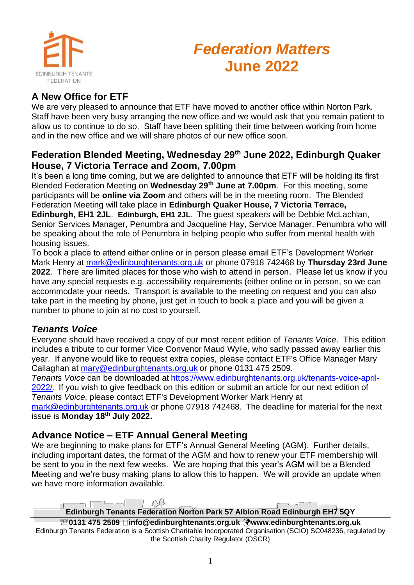

# *Federation Matters* **June 2022**

# **A New Office for ETF**

We are very pleased to announce that ETF have moved to another office within Norton Park. Staff have been very busy arranging the new office and we would ask that you remain patient to allow us to continue to do so. Staff have been splitting their time between working from home and in the new office and we will share photos of our new office soon.

#### **Federation Blended Meeting, Wednesday 29th June 2022, Edinburgh Quaker House, 7 Victoria Terrace and Zoom, 7.00pm**

It's been a long time coming, but we are delighted to announce that ETF will be holding its first Blended Federation Meeting on **Wednesday 29th June at 7.00pm**. For this meeting, some participants will be **online via Zoom** and others will be in the meeting room. The Blended Federation Meeting will take place in **Edinburgh Quaker House, 7 Victoria Terrace, Edinburgh, EH1 2JL**. **Edinburgh, EH1 2JL**. The guest speakers will be Debbie McLachlan, Senior Services Manager, Penumbra and Jacqueline Hay, Service Manager, Penumbra who will be speaking about the role of Penumbra in helping people who suffer from mental health with housing issues.

To book a place to attend either online or in person please email ETF's Development Worker Mark Henry at [mark@edinburghtenants.org.uk](mailto:mark@edinburghtenants.org.uk) or phone 07918 742468 by **Thursday 23rd June 2022**. There are limited places for those who wish to attend in person. Please let us know if you have any special requests e.g. accessibility requirements (either online or in person, so we can accommodate your needs. Transport is available to the meeting on request and you can also take part in the meeting by phone, just get in touch to book a place and you will be given a number to phone to join at no cost to yourself.

#### *Tenants Voice*

Everyone should have received a copy of our most recent edition of *Tenants Voice*. This edition includes a tribute to our former Vice Convenor Maud Wylie, who sadly passed away earlier this year. If anyone would like to request extra copies, please contact ETF's Office Manager Mary Callaghan at [mary@edinburghtenants.org.uk](mailto:mary@edinburghtenants.org.uk) or phone 0131 475 2509.

*Tenants Voice* can be downloaded at [https://www.edinburghtenants.org.uk/tenants-voice-april-](https://www.edinburghtenants.org.uk/tenants-voice-april-2022/)[2022/.](https://www.edinburghtenants.org.uk/tenants-voice-april-2022/) If you wish to give feedback on this edition or submit an article for our next edition of *Tenants Voice*, please contact ETF's Development Worker Mark Henry at

[mark@edinburghtenants.org.uk](mailto:mark@edinburghtenants.org.uk) or phone 07918 742468. The deadline for material for the next issue is **Monday 18th July 2022.**

#### **Advance Notice – ETF Annual General Meeting**

We are beginning to make plans for ETF's Annual General Meeting (AGM). Further details, including important dates, the format of the AGM and how to renew your ETF membership will be sent to you in the next few weeks. We are hoping that this year's AGM will be a Blended Meeting and we're busy making plans to allow this to happen. We will provide an update when we have more information available.

 $\sim$  $\infty$ **Edinburgh Tenants Federation Norton Park 57 Albion Road Edinburgh EH7 5QY**

**0131 475 2509 info@edinburghtenants.org.uk www.edinburghtenants.org.uk** Edinburgh Tenants Federation is a Scottish Charitable Incorporated Organisation (SCIO) SC048236, regulated by the Scottish Charity Regulator (OSCR)